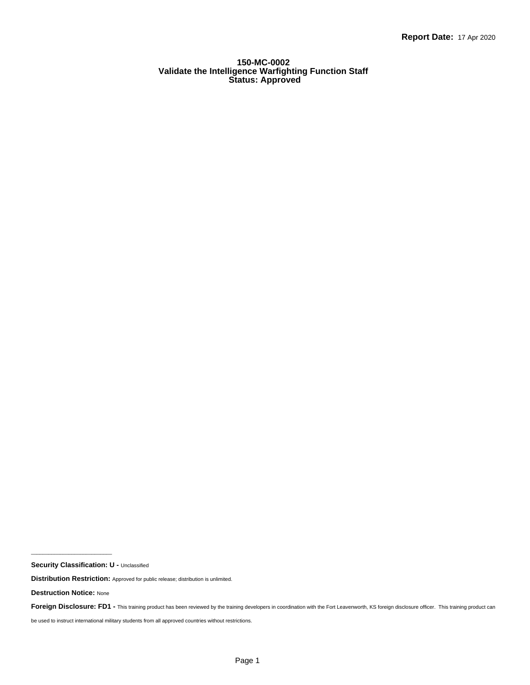#### **150-MC-0002 Validate the Intelligence Warfighting Function Staff Status: Approved**

 $\mathcal{L}_\text{max}$  and  $\mathcal{L}_\text{max}$  and  $\mathcal{L}_\text{max}$  and  $\mathcal{L}_\text{max}$ 

be used to instruct international military students from all approved countries without restrictions.

**Security Classification: U -** Unclassified

**Distribution Restriction:** Approved for public release; distribution is unlimited.

**Destruction Notice:** None

Foreign Disclosure: FD1 - This training product has been reviewed by the training developers in coordination with the Fort Leavenworth, KS foreign disclosure officer. This training product can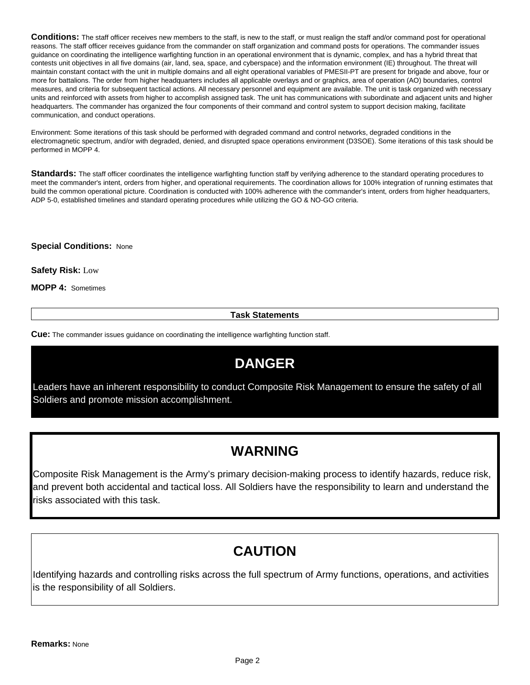**Conditions:** The staff officer receives new members to the staff, is new to the staff, or must realign the staff and/or command post for operational reasons. The staff officer receives guidance from the commander on staff organization and command posts for operations. The commander issues guidance on coordinating the intelligence warfighting function in an operational environment that is dynamic, complex, and has a hybrid threat that contests unit objectives in all five domains (air, land, sea, space, and cyberspace) and the information environment (IE) throughout. The threat will maintain constant contact with the unit in multiple domains and all eight operational variables of PMESII-PT are present for brigade and above, four or more for battalions. The order from higher headquarters includes all applicable overlays and or graphics, area of operation (AO) boundaries, control measures, and criteria for subsequent tactical actions. All necessary personnel and equipment are available. The unit is task organized with necessary units and reinforced with assets from higher to accomplish assigned task. The unit has communications with subordinate and adjacent units and higher headquarters. The commander has organized the four components of their command and control system to support decision making, facilitate communication, and conduct operations.

Environment: Some iterations of this task should be performed with degraded command and control networks, degraded conditions in the electromagnetic spectrum, and/or with degraded, denied, and disrupted space operations environment (D3SOE). Some iterations of this task should be performed in MOPP 4.

**Standards:** The staff officer coordinates the intelligence warfighting function staff by verifying adherence to the standard operating procedures to meet the commander's intent, orders from higher, and operational requirements. The coordination allows for 100% integration of running estimates that build the common operational picture. Coordination is conducted with 100% adherence with the commander's intent, orders from higher headquarters, ADP 5-0, established timelines and standard operating procedures while utilizing the GO & NO-GO criteria.

**Special Conditions:** None

**Safety Risk:** Low

**MOPP 4:** Sometimes

**Task Statements**

**Cue:** The commander issues guidance on coordinating the intelligence warfighting function staff.

# **DANGER**

Leaders have an inherent responsibility to conduct Composite Risk Management to ensure the safety of all Soldiers and promote mission accomplishment.

## **WARNING**

Composite Risk Management is the Army's primary decision-making process to identify hazards, reduce risk, and prevent both accidental and tactical loss. All Soldiers have the responsibility to learn and understand the risks associated with this task.

## **CAUTION**

Identifying hazards and controlling risks across the full spectrum of Army functions, operations, and activities is the responsibility of all Soldiers.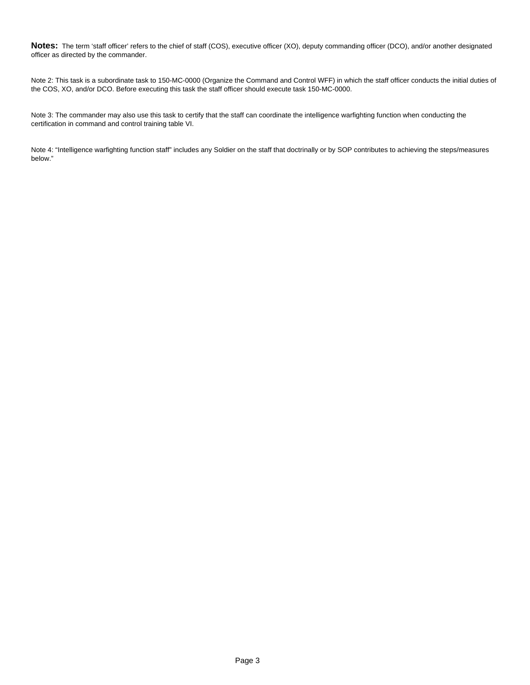**Notes:** The term 'staff officer' refers to the chief of staff (COS), executive officer (XO), deputy commanding officer (DCO), and/or another designated officer as directed by the commander.

Note 2: This task is a subordinate task to 150-MC-0000 (Organize the Command and Control WFF) in which the staff officer conducts the initial duties of the COS, XO, and/or DCO. Before executing this task the staff officer should execute task 150-MC-0000.

Note 3: The commander may also use this task to certify that the staff can coordinate the intelligence warfighting function when conducting the certification in command and control training table VI.

Note 4: "Intelligence warfighting function staff" includes any Soldier on the staff that doctrinally or by SOP contributes to achieving the steps/measures below."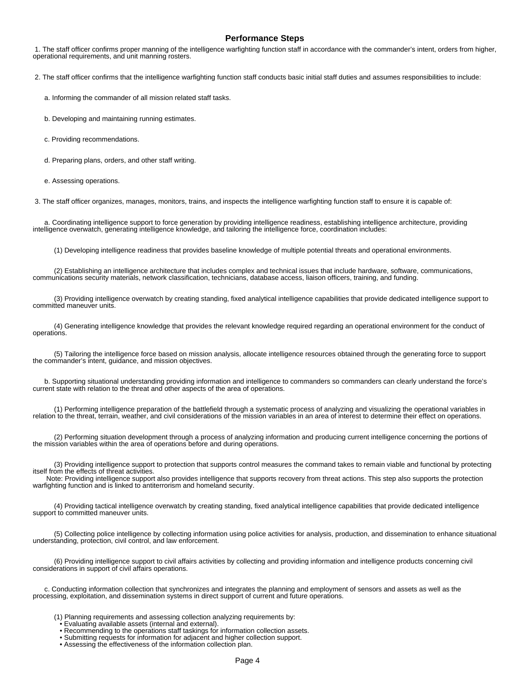#### **Performance Steps**

 1. The staff officer confirms proper manning of the intelligence warfighting function staff in accordance with the commander's intent, orders from higher, operational requirements, and unit manning rosters.

2. The staff officer confirms that the intelligence warfighting function staff conducts basic initial staff duties and assumes responsibilities to include:

a. Informing the commander of all mission related staff tasks.

b. Developing and maintaining running estimates.

c. Providing recommendations.

d. Preparing plans, orders, and other staff writing.

e. Assessing operations.

3. The staff officer organizes, manages, monitors, trains, and inspects the intelligence warfighting function staff to ensure it is capable of:

 a. Coordinating intelligence support to force generation by providing intelligence readiness, establishing intelligence architecture, providing intelligence overwatch, generating intelligence knowledge, and tailoring the intelligence force, coordination includes:

(1) Developing intelligence readiness that provides baseline knowledge of multiple potential threats and operational environments.

 (2) Establishing an intelligence architecture that includes complex and technical issues that include hardware, software, communications, communications security materials, network classification, technicians, database access, liaison officers, training, and funding.

 (3) Providing intelligence overwatch by creating standing, fixed analytical intelligence capabilities that provide dedicated intelligence support to committed maneuver units.

 (4) Generating intelligence knowledge that provides the relevant knowledge required regarding an operational environment for the conduct of operations.

 (5) Tailoring the intelligence force based on mission analysis, allocate intelligence resources obtained through the generating force to support the commander's intent, guidance, and mission objectives.

 b. Supporting situational understanding providing information and intelligence to commanders so commanders can clearly understand the force's current state with relation to the threat and other aspects of the area of operations.

 (1) Performing intelligence preparation of the battlefield through a systematic process of analyzing and visualizing the operational variables in relation to the threat, terrain, weather, and civil considerations of the mission variables in an area of interest to determine their effect on operations.

 (2) Performing situation development through a process of analyzing information and producing current intelligence concerning the portions of the mission variables within the area of operations before and during operations.

 (3) Providing intelligence support to protection that supports control measures the command takes to remain viable and functional by protecting itself from the effects of threat activities.

 Note: Providing intelligence support also provides intelligence that supports recovery from threat actions. This step also supports the protection warfighting function and is linked to antiterrorism and homeland security.

 (4) Providing tactical intelligence overwatch by creating standing, fixed analytical intelligence capabilities that provide dedicated intelligence support to committed maneuver units.

 (5) Collecting police intelligence by collecting information using police activities for analysis, production, and dissemination to enhance situational understanding, protection, civil control, and law enforcement.

 (6) Providing intelligence support to civil affairs activities by collecting and providing information and intelligence products concerning civil considerations in support of civil affairs operations.

 c. Conducting information collection that synchronizes and integrates the planning and employment of sensors and assets as well as the processing, exploitation, and dissemination systems in direct support of current and future operations.

- (1) Planning requirements and assessing collection analyzing requirements by:
- Evaluating available assets (internal and external).
	- Recommending to the operations staff taskings for information collection assets.
- Submitting requests for information for adjacent and higher collection support.
- Assessing the effectiveness of the information collection plan.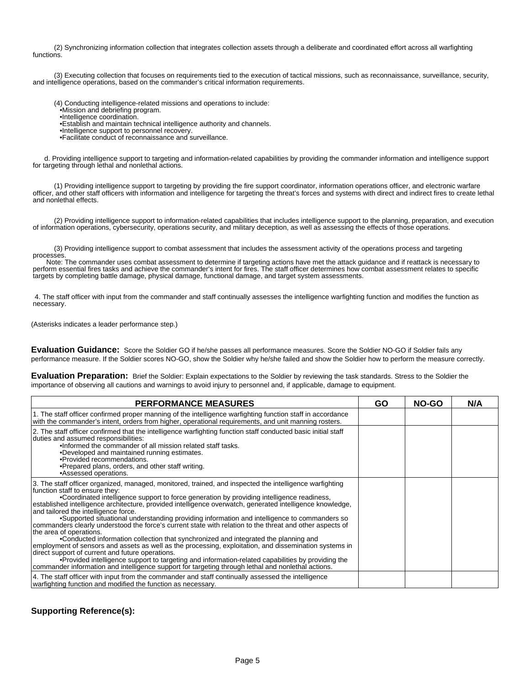(2) Synchronizing information collection that integrates collection assets through a deliberate and coordinated effort across all warfighting functions.

 (3) Executing collection that focuses on requirements tied to the execution of tactical missions, such as reconnaissance, surveillance, security, and intelligence operations, based on the commander's critical information requirements.

(4) Conducting intelligence-related missions and operations to include:

- Mission and debriefing program.
	- Intelligence coordination.
	- Establish and maintain technical intelligence authority and channels.
	- Intelligence support to personnel recovery.
	- • Facilitate conduct of reconnaissance and surveillance.

 d. Providing intelligence support to targeting and information-related capabilities by providing the commander information and intelligence support for targeting through lethal and nonlethal actions.

 (1) Providing intelligence support to targeting by providing the fire support coordinator, information operations officer, and electronic warfare officer, and other staff officers with information and intelligence for targeting the threat's forces and systems with direct and indirect fires to create lethal and nonlethal effects.

 (2) Providing intelligence support to information-related capabilities that includes intelligence support to the planning, preparation, and execution of information operations, cybersecurity, operations security, and military deception, as well as assessing the effects of those operations.

 (3) Providing intelligence support to combat assessment that includes the assessment activity of the operations process and targeting processes.

 Note: The commander uses combat assessment to determine if targeting actions have met the attack guidance and if reattack is necessary to perform essential fires tasks and achieve the commander's intent for fires. The staff officer determines how combat assessment relates to specific targets by completing battle damage, physical damage, functional damage, and target system assessments.

 4. The staff officer with input from the commander and staff continually assesses the intelligence warfighting function and modifies the function as necessary.

(Asterisks indicates a leader performance step.)

**Evaluation Guidance:** Score the Soldier GO if he/she passes all performance measures. Score the Soldier NO-GO if Soldier fails any performance measure. If the Soldier scores NO-GO, show the Soldier why he/she failed and show the Soldier how to perform the measure correctly.

**Evaluation Preparation:** Brief the Soldier: Explain expectations to the Soldier by reviewing the task standards. Stress to the Soldier the importance of observing all cautions and warnings to avoid injury to personnel and, if applicable, damage to equipment.

| <b>PERFORMANCE MEASURES</b>                                                                                                                                                                                                                                                                                                                                                                                                                                                                                                                                                                                                                                                                                                                                                                                                                                                                                                                                                                                                                                                                             | <b>GO</b> | NO-GO | N/A |
|---------------------------------------------------------------------------------------------------------------------------------------------------------------------------------------------------------------------------------------------------------------------------------------------------------------------------------------------------------------------------------------------------------------------------------------------------------------------------------------------------------------------------------------------------------------------------------------------------------------------------------------------------------------------------------------------------------------------------------------------------------------------------------------------------------------------------------------------------------------------------------------------------------------------------------------------------------------------------------------------------------------------------------------------------------------------------------------------------------|-----------|-------|-----|
| 1. The staff officer confirmed proper manning of the intelligence warfighting function staff in accordance<br>with the commander's intent, orders from higher, operational requirements, and unit manning rosters.                                                                                                                                                                                                                                                                                                                                                                                                                                                                                                                                                                                                                                                                                                                                                                                                                                                                                      |           |       |     |
| 2. The staff officer confirmed that the intelligence warfighting function staff conducted basic initial staff<br>duties and assumed responsibilities:<br>. Informed the commander of all mission related staff tasks.<br>• Developed and maintained running estimates.<br>• Provided recommendations.<br>• Prepared plans, orders, and other staff writing.<br>• Assessed operations.                                                                                                                                                                                                                                                                                                                                                                                                                                                                                                                                                                                                                                                                                                                   |           |       |     |
| 3. The staff officer organized, managed, monitored, trained, and inspected the intelligence warfighting<br>function staff to ensure they:<br>• Coordinated intelligence support to force generation by providing intelligence readiness,<br>established intelligence architecture, provided intelligence overwatch, generated intelligence knowledge,<br>and tailored the intelligence force.<br>• Supported situational understanding providing information and intelligence to commanders so<br>commanders clearly understood the force's current state with relation to the threat and other aspects of<br>the area of operations.<br>• Conducted information collection that synchronized and integrated the planning and<br>employment of sensors and assets as well as the processing, exploitation, and dissemination systems in<br>direct support of current and future operations.<br>• Provided intelligence support to targeting and information-related capabilities by providing the<br>commander information and intelligence support for targeting through lethal and nonlethal actions. |           |       |     |
| 4. The staff officer with input from the commander and staff continually assessed the intelligence<br>warfighting function and modified the function as necessary.                                                                                                                                                                                                                                                                                                                                                                                                                                                                                                                                                                                                                                                                                                                                                                                                                                                                                                                                      |           |       |     |

### **Supporting Reference(s):**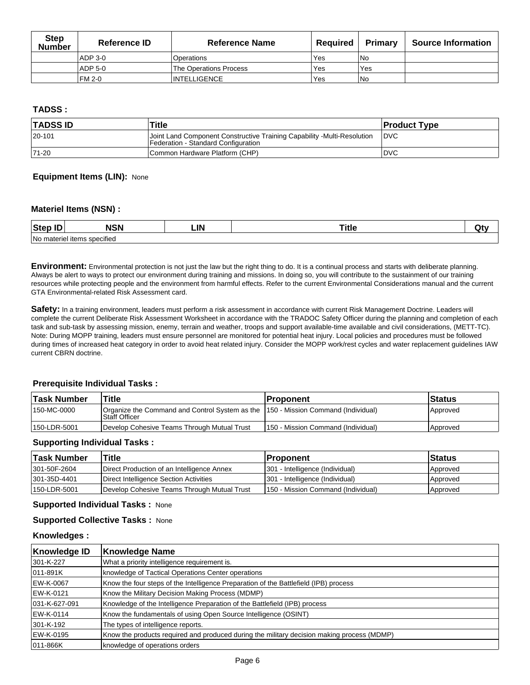| <b>Step</b><br>Number | Reference ID | <b>Reference Name</b>  | Reauired | <b>Primary</b> | <b>Source Information</b> |
|-----------------------|--------------|------------------------|----------|----------------|---------------------------|
|                       | ADP 3-0      | l Operations           | Yes      | l No           |                           |
|                       | ADP 5-0      | The Operations Process | Yes      | Yes            |                           |
|                       | FM 2-0       | <b>INTELLIGENCE</b>    | Yes      | l No           |                           |

## **TADSS :**

| <b>TADSS ID</b> | Title                                                                                                          | <b>Product Type</b> |
|-----------------|----------------------------------------------------------------------------------------------------------------|---------------------|
| $ 20 - 101$     | Joint Land Component Constructive Training Capability -Multi-Resolution<br>Federation - Standard Configuration | <b>IDVC</b>         |
| $ 71-20$        | Common Hardware Platform (CHP)                                                                                 | IDVC                |

### **Equipment Items (LIN):** None

### **Materiel Items (NSN) :**

| $-$<br>Step<br> | .                        | ∟IN |  |
|-----------------|--------------------------|-----|--|
| l No            | nateriel items specified |     |  |

**Environment:** Environmental protection is not just the law but the right thing to do. It is a continual process and starts with deliberate planning. Always be alert to ways to protect our environment during training and missions. In doing so, you will contribute to the sustainment of our training resources while protecting people and the environment from harmful effects. Refer to the current Environmental Considerations manual and the current GTA Environmental-related Risk Assessment card.

Safety: In a training environment, leaders must perform a risk assessment in accordance with current Risk Management Doctrine. Leaders will complete the current Deliberate Risk Assessment Worksheet in accordance with the TRADOC Safety Officer during the planning and completion of each task and sub-task by assessing mission, enemy, terrain and weather, troops and support available-time available and civil considerations, (METT-TC). Note: During MOPP training, leaders must ensure personnel are monitored for potential heat injury. Local policies and procedures must be followed during times of increased heat category in order to avoid heat related injury. Consider the MOPP work/rest cycles and water replacement guidelines IAW current CBRN doctrine.

### **Prerequisite Individual Tasks :**

| ˈTask Number | Title                                                                                              | <b>Proponent</b>                     | ∣Status  |
|--------------|----------------------------------------------------------------------------------------------------|--------------------------------------|----------|
| 150-MC-0000  | Organize the Command and Control System as the 150 - Mission Command (Individual)<br>Staff Officer |                                      | Approved |
| 150-LDR-5001 | Develop Cohesive Teams Through Mutual Trust                                                        | l 150 - Mission Command (Individual) | Approved |

### **Supporting Individual Tasks :**

| ∣Task Number | Title                                       | ∣Proponent                          | ∣Status  |
|--------------|---------------------------------------------|-------------------------------------|----------|
| 301-50F-2604 | Direct Production of an Intelligence Annex  | 301 - Intelligence (Individual)     | Approved |
| 301-35D-4401 | Direct Intelligence Section Activities      | 301 - Intelligence (Individual)     | Approved |
| 150-LDR-5001 | Develop Cohesive Teams Through Mutual Trust | 1150 - Mission Command (Individual) | Approved |

#### **Supported Individual Tasks :** None

### **Supported Collective Tasks :** None

#### **Knowledges :**

| Knowledge ID  | <b>Knowledge Name</b>                                                                      |
|---------------|--------------------------------------------------------------------------------------------|
| 301-K-227     | What a priority intelligence requirement is.                                               |
| 011-891K      | knowledge of Tactical Operations Center operations                                         |
| EW-K-0067     | Know the four steps of the Intelligence Preparation of the Battlefield (IPB) process       |
| EW-K-0121     | Know the Military Decision Making Process (MDMP)                                           |
| 031-K-627-091 | Knowledge of the Intelligence Preparation of the Battlefield (IPB) process                 |
| EW-K-0114     | Know the fundamentals of using Open Source Intelligence (OSINT)                            |
| 301-K-192     | The types of intelligence reports.                                                         |
| EW-K-0195     | Know the products required and produced during the military decision making process (MDMP) |
| 011-866K      | knowledge of operations orders                                                             |